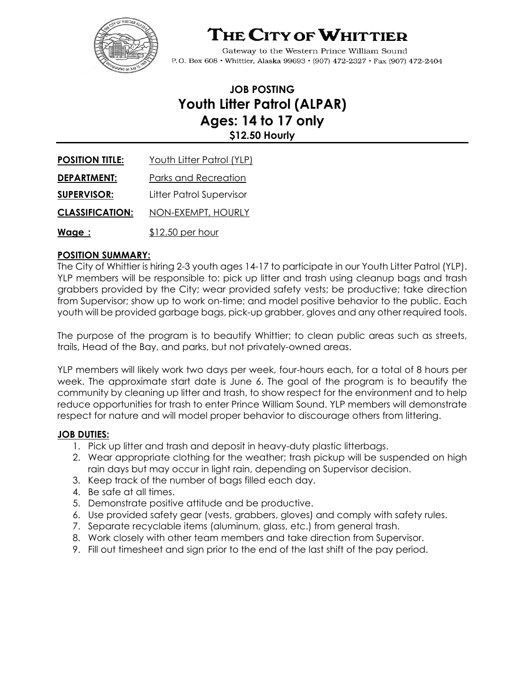

# THE CITY OF WHITTIER

Gateway to the Western Prince William Sound P.O. Box 608 · Whittier, Alaska 99693 · (907) 472-2327 · Fax (907) 472-2404

# **JOB POSTING Youth Litter Patrol (ALPAR) Ages: 14 to 17 only \$12.50 Hourly**

| <b>POSITION TITLE:</b> | Youth Litter Patrol (YLP)   |
|------------------------|-----------------------------|
| <b>DEPARTMENT:</b>     | <b>Parks and Recreation</b> |
| <b>SUPERVISOR:</b>     | Litter Patrol Supervisor    |
| <b>CLASSIFICATION:</b> | NON-EXEMPT, HOURLY          |
| Wage :                 | \$12.50 per hour            |

# **POSITION SUMMARY:**

The City of Whittier is hiring 2-3 youth ages 14-17 to participate in our Youth Litter Patrol (YLP). YLP members will be responsible to: pick up litter and trash using cleanup bags and trash grabbers provided by the City; wear provided safety vests; be productive; take direction from Supervisor; show up to work on-time; and model positive behavior to the public. Each youth will be provided garbage bags, pick-up grabber, gloves and any other required tools.

The purpose of the program is to beautify Whittier; to clean public areas such as streets, trails, Head of the Bay, and parks, but not privately-owned areas.

YLP members will likely work two days per week, four-hours each, for a total of 8 hours per week. The approximate start date is June 6. The goal of the program is to beautify the community by cleaning up litter and trash, to show respect for the environment and to help reduce opportunities for trash to enter Prince William Sound. YLP members will demonstrate respect for nature and will model proper behavior to discourage others from littering.

# **JOB DUTIES:**

- 1. Pick up litter and trash and deposit in heavy-duty plastic litterbags.
- 2. Wear appropriate clothing for the weather; trash pickup will be suspended on high rain days but may occur in light rain, depending on Supervisor decision.
- 3. Keep track of the number of bags filled each day.
- 4. Be safe at all times.
- 5. Demonstrate positive attitude and be productive.
- 6. Use provided safety gear (vests, grabbers, gloves) and comply with safety rules.
- 7. Separate recyclable items (aluminum, glass, etc.) from general trash.
- 8. Work closely with other team members and take direction from Supervisor.
- 9. Fill out timesheet and sign prior to the end of the last shift of the pay period.